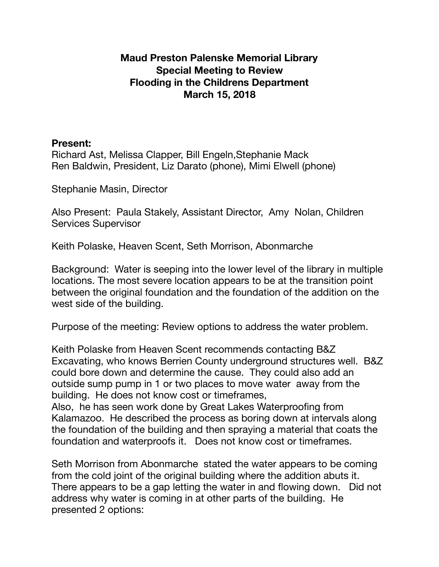## **Maud Preston Palenske Memorial Library Special Meeting to Review Flooding in the Childrens Department March 15, 2018**

## **Present:**

Richard Ast, Melissa Clapper, Bill Engeln,Stephanie Mack Ren Baldwin, President, Liz Darato (phone), Mimi Elwell (phone)

Stephanie Masin, Director

Also Present: Paula Stakely, Assistant Director, Amy Nolan, Children Services Supervisor

Keith Polaske, Heaven Scent, Seth Morrison, Abonmarche

Background: Water is seeping into the lower level of the library in multiple locations. The most severe location appears to be at the transition point between the original foundation and the foundation of the addition on the west side of the building.

Purpose of the meeting: Review options to address the water problem.

Keith Polaske from Heaven Scent recommends contacting B&Z Excavating, who knows Berrien County underground structures well. B&Z could bore down and determine the cause. They could also add an outside sump pump in 1 or two places to move water away from the building. He does not know cost or timeframes,

Also, he has seen work done by Great Lakes Waterproofing from Kalamazoo. He described the process as boring down at intervals along the foundation of the building and then spraying a material that coats the foundation and waterproofs it. Does not know cost or timeframes.

Seth Morrison from Abonmarche stated the water appears to be coming from the cold joint of the original building where the addition abuts it. There appears to be a gap letting the water in and flowing down. Did not address why water is coming in at other parts of the building. He presented 2 options: